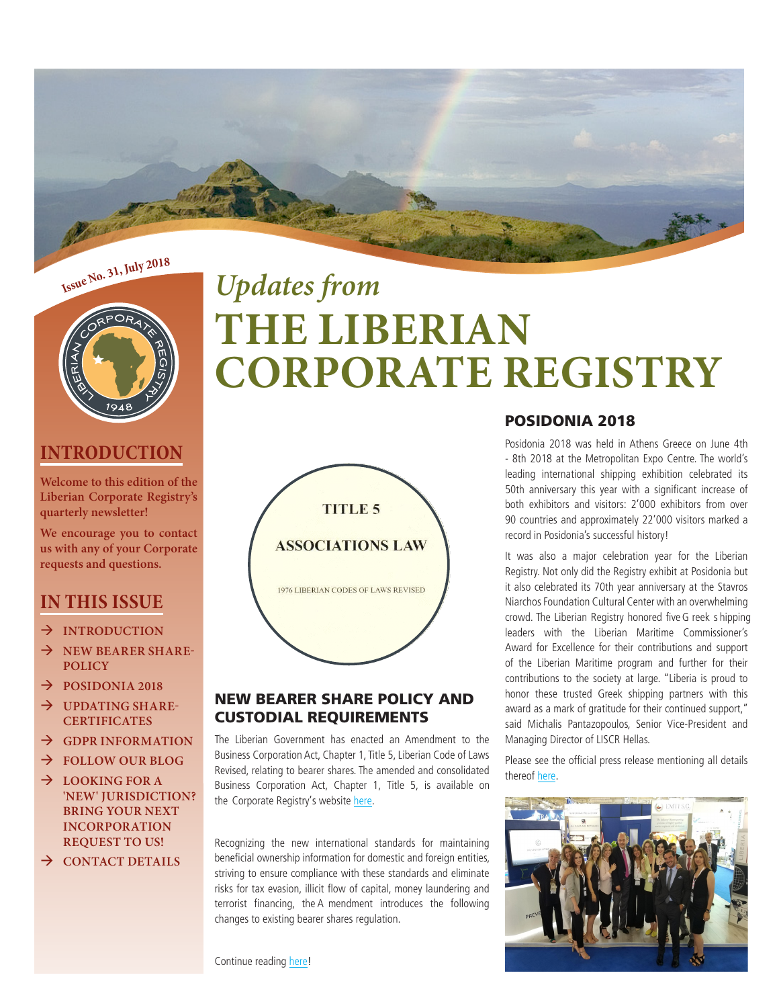



## **INTRODUCTION**

**Welcome to this edition of the Liberian Corporate Registry's quarterly newsletter!**

**We encourage you to contact us with any of your Corporate requests and questions.**

## **IN THIS ISSUE**

- $\rightarrow$  **INTRODUCTION**
- $\rightarrow$  NEW BEARER SHARE-**POLICY**
- $\rightarrow$  **POSIDONIA 2018**
- $\rightarrow$  UPDATING SHARE-**CERTIFICATES**
- $\rightarrow$  GDPR INFORMATION
- Æ **FOLLOW OUR BLOG**
- $\rightarrow$  LOOKING FOR A **'NEW' JURISDICTION? BRING YOUR NEXT INCORPORATION REQUEST TO US!**
- Æ **CONTACT DETAILS**

# *Updates from* **THE LIBERIAN CORPORATE REGISTRY**



## NEW BEARER SHARE POLICY AND CUSTODIAL REQUIREMENTS

The Liberian Government has enacted an Amendment to the Business Corporation Act, Chapter 1, Title 5, Liberian Code of Laws Revised, relating to bearer shares. The amended and consolidated Business Corporation Act, Chapter 1, Title 5, is available on the Corporate Registry's websit[e here.](http://liberiancorporations.com/new-bearer-share-policy-and-custodial-requirements-for-liberian-non-resident-corporations/) 

Recognizing the new international standards for maintaining beneficial ownership information for domestic and foreign entities, striving to ensure compliance with these standards and eliminate risks for tax evasion, illicit flow of capital, money laundering and terrorist financing, the A mendment introduces the following changes to existing bearer shares regulation.

Continue reading [here!](http://liscr.benchurl.com/c/l?u=7E999EB&e=CEBD89&c=E6AC&t=1&l=B552158&email=hfB5CdCM7AihwyW1yp9NfA%3D%3D&seq=1)

## POSIDONIA 2018

Posidonia 2018 was held in Athens Greece on June 4th - 8th 2018 at the Metropolitan Expo Centre. The world's leading international shipping exhibition celebrated its 50th anniversary this year with a significant increase of both exhibitors and visitors: 2'000 exhibitors from over 90 countries and approximately 22'000 visitors marked a record in Posidonia's successful history!

It was also a major celebration year for the Liberian Registry. Not only did the Registry exhibit at Posidonia but it also celebrated its 70th year anniversary at the Stavros Niarchos Foundation Cultural Center with an overwhelming crowd. The Liberian Registry honored five G reek s hipping leaders with the Liberian Maritime Commissioner's Award for Excellence for their contributions and support of the Liberian Maritime program and further for their contributions to the society at large. "Liberia is proud to honor these trusted Greek shipping partners with this award as a mark of gratitude for their continued support," said Michalis Pantazopoulos, Senior Vice-President and Managing Director of LISCR Hellas.

Please see the official press release mentioning all details ther[eof here.](http://liscr.benchurl.com/c/l?u=7E9A0BE&e=CEBD89&c=E6AC&t=1&l=B552158&email=hfB5CdCM7AihwyW1yp9NfA%3D%3D&seq=1)